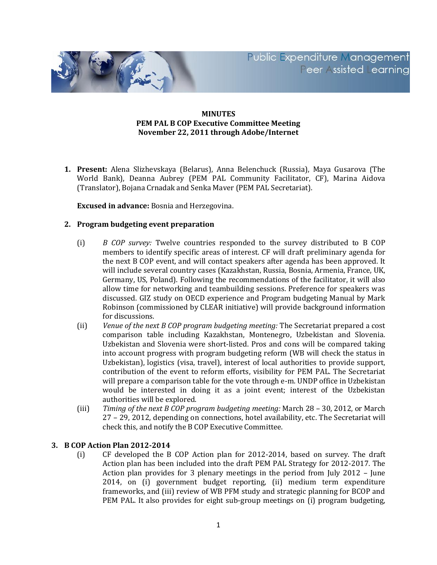Public Expenditure Management **Peer ssisted earning** 



## **MINUTES PEM PAL B COP Executive Committee Meeting November 22, 2011 through Adobe/Internet**

**1. Present:** Alena Slizhevskaya (Belarus), Anna Belenchuck (Russia), Maya Gusarova (The World Bank), Deanna Aubrey (PEM PAL Community Facilitator, CF), Marina Aidova (Translator), Bojana Crnadak and Senka Maver (PEM PAL Secretariat).

**Excused in advance:** Bosnia and Herzegovina.

## **2. Program budgeting event preparation**

- (i) *B COP survey:* Twelve countries responded to the survey distributed to B COP members to identify specific areas of interest. CF will draft preliminary agenda for the next B COP event, and will contact speakers after agenda has been approved. It will include several country cases (Kazakhstan, Russia, Bosnia, Armenia, France, UK, Germany, US, Poland). Following the recommendations of the facilitator, it will also allow time for networking and teambuilding sessions. Preference for speakers was discussed. GIZ study on OECD experience and Program budgeting Manual by Mark Robinson (commissioned by CLEAR initiative) will provide background information for discussions.
- (ii) *Venue of the next B COP program budgeting meeting:* The Secretariat prepared a cost comparison table including Kazakhstan, Montenegro, Uzbekistan and Slovenia. Uzbekistan and Slovenia were short-listed. Pros and cons will be compared taking into account progress with program budgeting reform (WB will check the status in Uzbekistan), logistics (visa, travel), interest of local authorities to provide support, contribution of the event to reform efforts, visibility for PEM PAL. The Secretariat will prepare a comparison table for the vote through e-m. UNDP office in Uzbekistan would be interested in doing it as a joint event; interest of the Uzbekistan authorities will be explored.
- (iii) *Timing of the next B COP program budgeting meeting:* March 28 30, 2012, or March 27 – 29, 2012, depending on connections, hotel availability, etc. The Secretariat will check this, and notify the B COP Executive Committee.

## **3. B COP Action Plan 2012-2014**

(i) CF developed the B COP Action plan for 2012-2014, based on survey. The draft Action plan has been included into the draft PEM PAL Strategy for 2012-2017. The Action plan provides for 3 plenary meetings in the period from July 2012 – June 2014, on (i) government budget reporting, (ii) medium term expenditure frameworks, and (iii) review of WB PFM study and strategic planning for BCOP and PEM PAL. It also provides for eight sub-group meetings on (i) program budgeting,